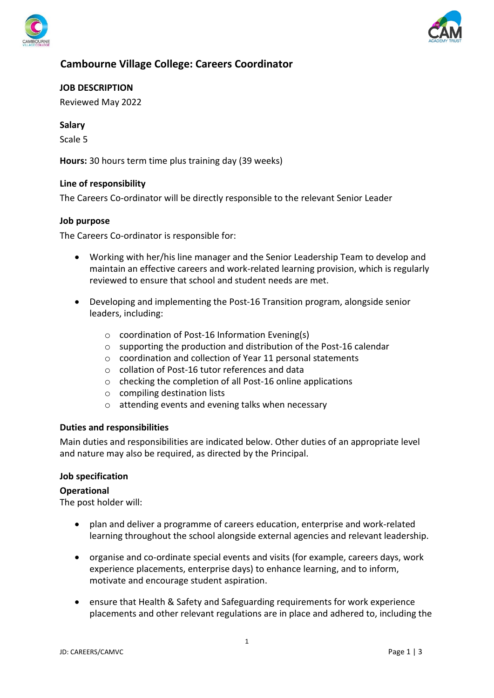



# **Cambourne Village College: Careers Coordinator**

**JOB DESCRIPTION**

Reviewed May 2022

## **Salary**

Scale 5

**Hours:** 30 hours term time plus training day (39 weeks)

#### **Line of responsibility**

The Careers Co-ordinator will be directly responsible to the relevant Senior Leader

#### **Job purpose**

The Careers Co-ordinator is responsible for:

- Working with her/his line manager and the Senior Leadership Team to develop and maintain an effective careers and work-related learning provision, which is regularly reviewed to ensure that school and student needs are met.
- Developing and implementing the Post-16 Transition program, alongside senior leaders, including:
	- o coordination of Post-16 Information Evening(s)
	- $\circ$  supporting the production and distribution of the Post-16 calendar
	- o coordination and collection of Year 11 personal statements
	- o collation of Post-16 tutor references and data
	- o checking the completion of all Post-16 online applications
	- o compiling destination lists
	- o attending events and evening talks when necessary

#### **Duties and responsibilities**

Main duties and responsibilities are indicated below. Other duties of an appropriate level and nature may also be required, as directed by the Principal.

#### **Job specification**

#### **Operational**

The post holder will:

- plan and deliver a programme of careers education, enterprise and work-related learning throughout the school alongside external agencies and relevant leadership.
- organise and co-ordinate special events and visits (for example, careers days, work experience placements, enterprise days) to enhance learning, and to inform, motivate and encourage student aspiration.
- ensure that Health & Safety and Safeguarding requirements for work experience placements and other relevant regulations are in place and adhered to, including the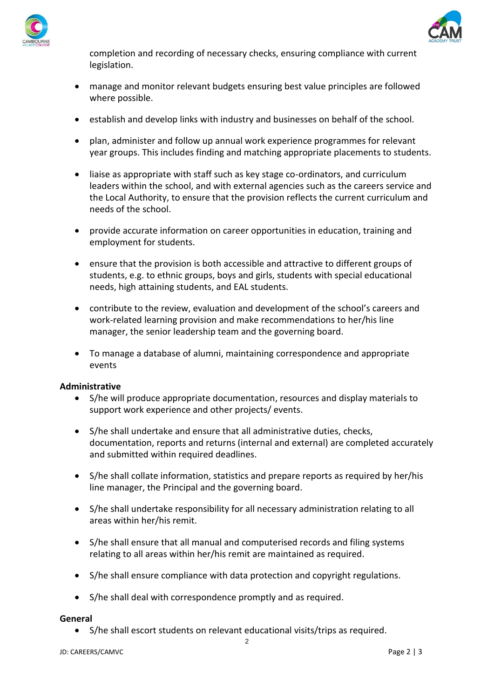



completion and recording of necessary checks, ensuring compliance with current legislation.

- manage and monitor relevant budgets ensuring best value principles are followed where possible.
- establish and develop links with industry and businesses on behalf of the school.
- plan, administer and follow up annual work experience programmes for relevant year groups. This includes finding and matching appropriate placements to students.
- liaise as appropriate with staff such as key stage co-ordinators, and curriculum leaders within the school, and with external agencies such as the careers service and the Local Authority, to ensure that the provision reflects the current curriculum and needs of the school.
- provide accurate information on career opportunities in education, training and employment for students.
- ensure that the provision is both accessible and attractive to different groups of students, e.g. to ethnic groups, boys and girls, students with special educational needs, high attaining students, and EAL students.
- contribute to the review, evaluation and development of the school's careers and work-related learning provision and make recommendations to her/his line manager, the senior leadership team and the governing board.
- To manage a database of alumni, maintaining correspondence and appropriate events

#### **Administrative**

- S/he will produce appropriate documentation, resources and display materials to support work experience and other projects/ events.
- S/he shall undertake and ensure that all administrative duties, checks, documentation, reports and returns (internal and external) are completed accurately and submitted within required deadlines.
- S/he shall collate information, statistics and prepare reports as required by her/his line manager, the Principal and the governing board.
- S/he shall undertake responsibility for all necessary administration relating to all areas within her/his remit.
- S/he shall ensure that all manual and computerised records and filing systems relating to all areas within her/his remit are maintained as required.
- S/he shall ensure compliance with data protection and copyright regulations.
- S/he shall deal with correspondence promptly and as required.

#### **General**

• S/he shall escort students on relevant educational visits/trips as required.